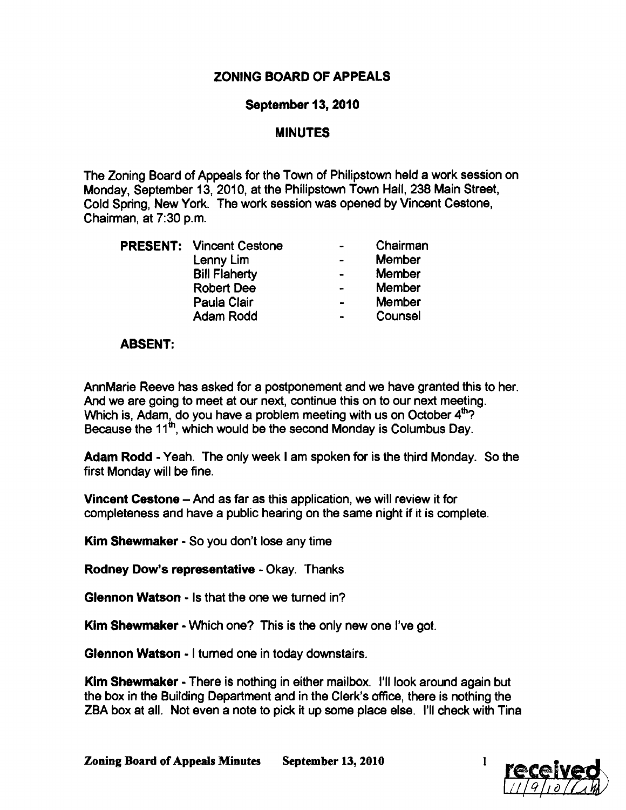# ZONING BOARD OF APPEALS

## September 13, 2010

## **MINUTES**

The Zoning Board of Appeals for the Town of Philipstown held a work session on Monday, September 13, 2010, at the Philipstown Town Hall, 238 Main Street, Cold Spring, New York. The work session was opened by Vincent Cestone, Chairman, at 7:30 p.m.

|  | <b>PRESENT: Vincent Cestone</b> | $\bullet$      | Chairman |
|--|---------------------------------|----------------|----------|
|  | Lenny Lim                       | $\blacksquare$ | Member   |
|  | <b>Bill Flaherty</b>            | $\bullet$      | Member   |
|  | <b>Robert Dee</b>               | $\blacksquare$ | Member   |
|  | Paula Clair                     | $\bullet$      | Member   |
|  | Adam Rodd                       | $\bullet$      | Counsel  |

#### ABSENT:

AnnMarie Reeve has asked for a postponement and we have granted this to her. And we are going to meet at our next, continue this on to our next meeting. Which is, Adam, do you have a problem meeting with us on October  $4<sup>th</sup>$ ? Because the  $11<sup>th</sup>$ , which would be the second Monday is Columbus Day.

Adam Rodd - Yeah. The only week I am spoken for is the third Monday. So the first Monday will be fine.

Vincent Cestone - And as far as this application, we will review it for completeness and have a public hearing on the same night if it is complete.

Kim Shewmaker - So you don't lose any time

Rodney Dow's representative - Okay. Thanks

Glennon Watson - Is that the one we turned in?

Kim Shewmaker - Which one? This is the only new one I've got.

Glennon Watson· I turned one in today downstairs.

Kim Shewmaker - There is nothing in either mailbox. I'll look around again but the box in the Building Department and in the Clerk's office, there is nothing the ZBA box at all. Not even a note to pick it up some place else. I'll check with Tina

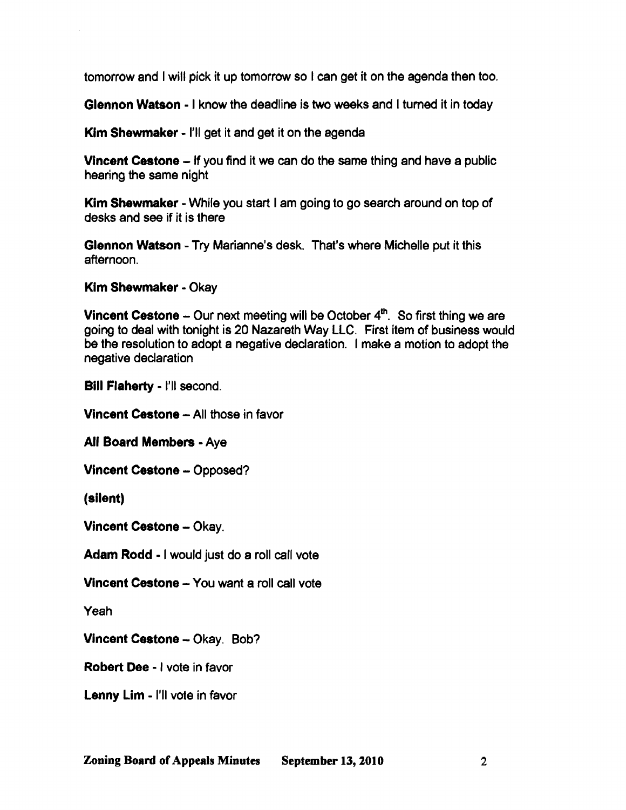tomorrow and I will pick it up tomorrow so I can get it on the agenda then too.

Glennon Watson - I know the deadline is two weeks and I turned it in today

Kim Shewmaker - I'll get it and get it on the agenda

Vincent Cestone - If you find it we can do the same thing and have a public hearing the same night

Kim Shewmaker - While you start I am going to go search around on top of desks and see if it is there

Glennon Watson - Try Marianne's desk. That's where Michelle put it this afternoon.

Kim Shewmaker· Okay

Vincent Cestone - Our next meeting will be October  $4<sup>th</sup>$ . So first thing we are going to deal with tonight is 20 Nazareth Way LLC. First item of business would be the resolution to adopt a negative declaration. I make a motion to adopt the negative declaration

Bill Flaherty - I'll second.

Vincent Cestone - All those in favor

All Board Members· Aye

Vincent Cestone - Opposed?

(silent)

Vincent Cestone - Okay.

Adam Rodd • I would just do a roll call vote

Vincent Cestone - You want a roll call vote

Yeah

Vincent Cestone - Okay. Bob?

Robert Dee - I vote in favor

Lenny Lim - I'll vote in favor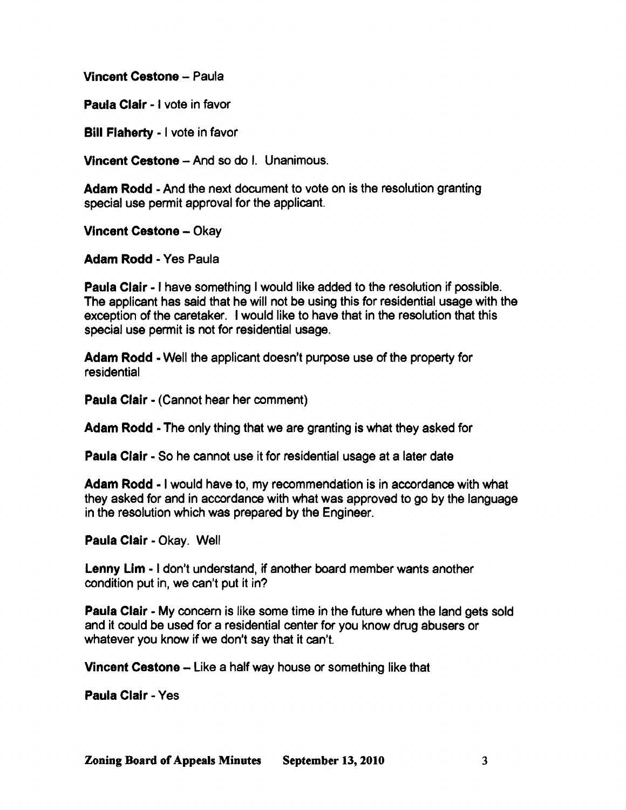Vincent Cestone - Paula

Paula Clair - I vote in favor

Bill Flaherty - I vote in favor

Vincent Cestone - And so do I. Unanimous.

Adam Rodd - And the next document to vote on is the resolution granting special use permit approval for the applicant.

**Vincent Cestone - Okay** 

Adam Rodd - Yes Paula

Paula Clair - I have something I would like added to the resolution if possible. The applicant has said that he will not be using this for residential usage with the exception of the caretaker. I would like to have that in the resolution that this special use permit is not for residential usage.

Adam Rodd - Well the applicant doesn't purpose use of the property for residential

Paula Clair - (Cannot hear her comment)

Adam Rodd - The only thing that we are granting is what they asked for

Paula Clair - So he cannot use it for residential usage at a later date

Adam Rodd - I would have to, my recommendation is in accordance with what they asked for and in accordance with what was approved to go by the language in the resolution which was prepared by the Engineer.

Paula Clair - Okay. Well

Lenny Lim - I don't understand, if another board member wants another condition put in, we can't put it in?

Paula Clair - My concern is like some time in the future when the land gets sold and it could be used for a residential center for you know drug abusers or whatever you know if we don't say that it can't.

Vincent Cestone - Like a half way house or something like that

Paula Clair - Yes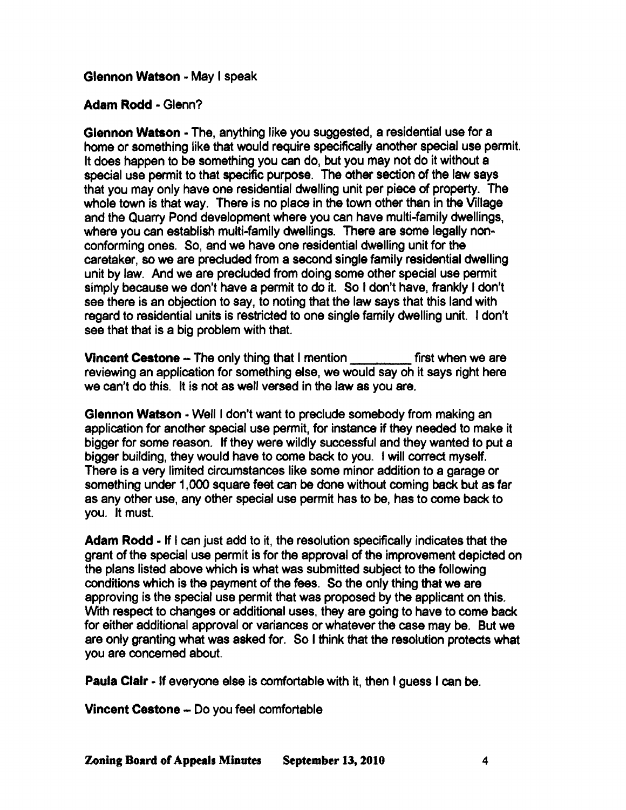### Glennon Watson· May I speak

#### Adam Rodd • Glenn?

Glennon Watson - The, anything like you suggested, a residential use for a home or something like that would require specifically another special use permit. It does happen to be something you can do, but you may not do it without a special use permit to that specific purpose. The other section of the law says that you may only have one residential dwelling unit per piece of property. The whole town is that way. There is no place in the town other than in the Village and the Quarry Pond development where you can have multi-family dwellings, where you can establish multi-family dwellings. There are some legally nonconforming ones. So, and we have one residential dwelling unit for the caretaker, so we are precluded from a second single family residential dwelling unit by law. And we are precluded from doing some other special use permit simply because we don't have a permit to do it. So I don't have, frankly I don't see there is an objection to say, to noting that the law says that this land with regard to residential units is restricted to one single family dwelling unit. I don't see that that is a big problem with that.

**Vincent Cestone - The only thing that I mention first when we are** reviewing an application for something else, we would say oh it says right here we can't do this. It is not as well versed in the law as you are.

Glennon Watson· Well I don't want to preclude somebody from making an application for another special use permit, for instance if they needed to make it bigger for some reason. If they were wildly successful and they wanted to put a bigger building, they would have to come back to you. I will corred myself. There is a very limited circumstances like some minor addition to a garage or something under 1,000 square feet can be done without coming back but as far as any other use, any other special use permit has to be, has to come back to you. It must.

Adam Rodd • If I can just add to it, the resolution specifically indicates that the grant of the special use permit is for the approval of the improvement depicted on the plans listed above which is what was submitted subject to the following conditions which is the payment of the fees. So the only thing that we are approving is the special use permit that was proposed by the applicant on this. With respect to changes or additional uses, they are going to have to come back for either additional approval or variances or whatever the case may be. But we are only granting what was asked for. So I think that the resolution protects what you are concemed about.

Paula Clair - If everyone else is comfortable with it, then I guess I can be.

Vincent Cestone - Do you feel comfortable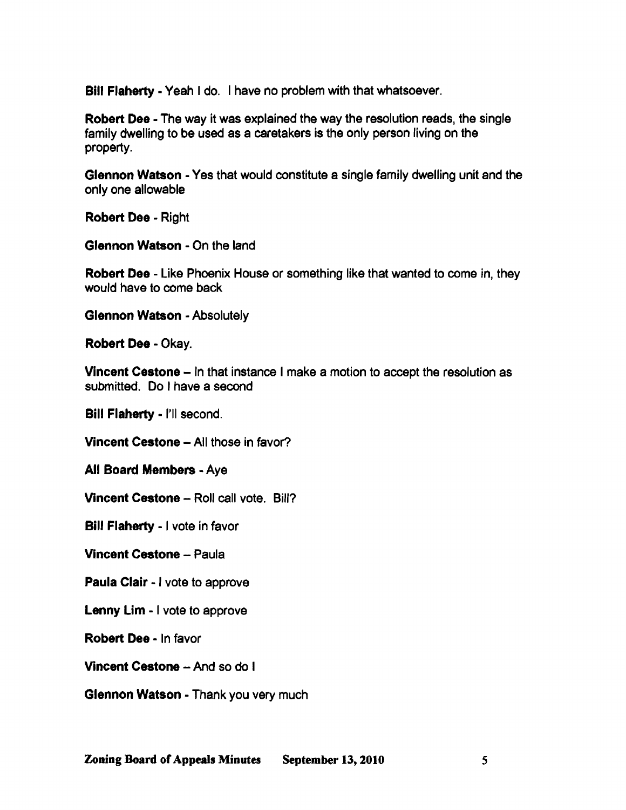Bill Flaherty - Yeah I do. I have no problem with that whatsoever.

Robert Dee - The way it was explained the way the resolution reads, the single family dwelling to be used as a caretakers is the only person living on the property.

Glennon Watson - Yes that would constitute a single family dwelling unit and the only one allowable

Robert Dee· Right

Glennon Watson - On the land

Robert Dee - Like Phoenix House or something like that wanted to come in, they would have to come back

Glennon Watson - Absolutely

Robert Dee • Okay.

Vincent Cestone - In that instance I make a motion to accept the resolution as submitted. Do I have a second

Bill Flaherty - I'll second.

Vincent Cestone - All those in favor?

All Board Members • Aye

Vincent Cestone - Roll call vote. Bill?

Bill Flaherty - I vote in favor

Vincent Cestone - Paula

Paula Clair - I vote to approve

Lenny Lim • I vote to approve

Robert Dee· In favor

Vincent Cestone - And so do I

Glennon Watson - Thank you very much